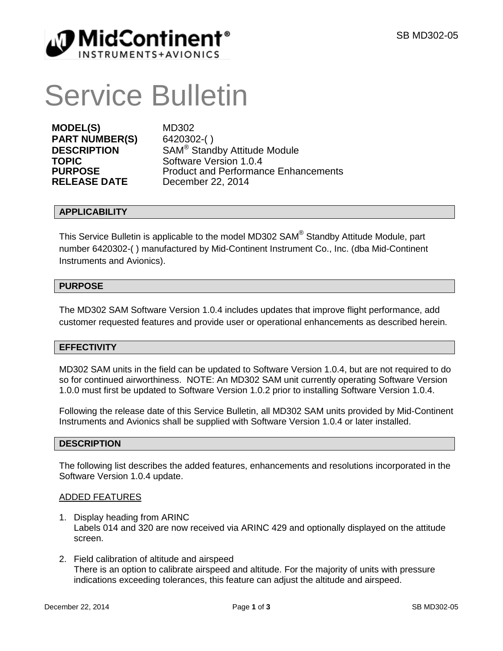

# Service Bulletin

**MODEL(S)** MD302<br>**PART NUMBER(S)** 6420302-() **PART NUMBER(S)** 

**DESCRIPTION** SAM<sup>®</sup> Standby Attitude Module<br>
Software Version 1 0 4 **TOPIC** Software Version 1.0.4<br> **PURPOSE** Product and Performan **PURPOSE** Product and Performance Enhancements<br> **RELEASE DATE** December 22, 2014 **December 22, 2014** 

## **APPLICABILITY**

This Service Bulletin is applicable to the model MD302 SAM® Standby Attitude Module, part number 6420302-( ) manufactured by Mid-Continent Instrument Co., Inc. (dba Mid-Continent Instruments and Avionics).

## **PURPOSE**

The MD302 SAM Software Version 1.0.4 includes updates that improve flight performance, add customer requested features and provide user or operational enhancements as described herein.

## **EFFECTIVITY**

MD302 SAM units in the field can be updated to Software Version 1.0.4, but are not required to do so for continued airworthiness. NOTE: An MD302 SAM unit currently operating Software Version 1.0.0 must first be updated to Software Version 1.0.2 prior to installing Software Version 1.0.4.

Following the release date of this Service Bulletin, all MD302 SAM units provided by Mid-Continent Instruments and Avionics shall be supplied with Software Version 1.0.4 or later installed.

## **DESCRIPTION**

The following list describes the added features, enhancements and resolutions incorporated in the Software Version 1.0.4 update.

## ADDED FEATURES

- 1. Display heading from ARINC Labels 014 and 320 are now received via ARINC 429 and optionally displayed on the attitude screen.
- 2. Field calibration of altitude and airspeed There is an option to calibrate airspeed and altitude. For the majority of units with pressure indications exceeding tolerances, this feature can adjust the altitude and airspeed.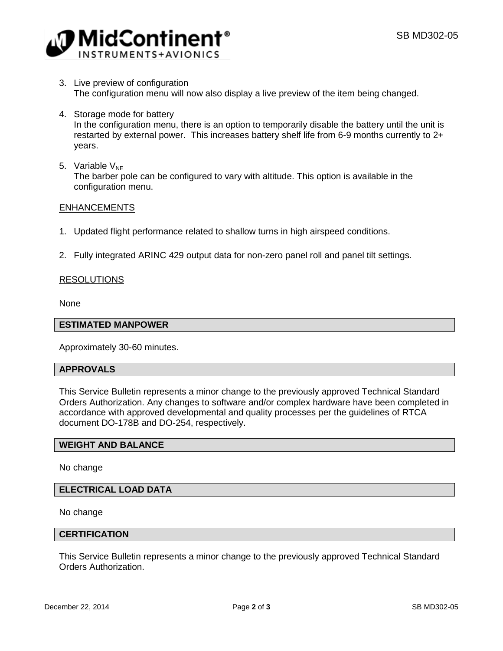

- 3. Live preview of configuration The configuration menu will now also display a live preview of the item being changed.
- 4. Storage mode for battery In the configuration menu, there is an option to temporarily disable the battery until the unit is restarted by external power. This increases battery shelf life from 6-9 months currently to 2+ years.
- 5. Variable  $V_{NE}$ The barber pole can be configured to vary with altitude. This option is available in the configuration menu.

#### **ENHANCEMENTS**

- 1. Updated flight performance related to shallow turns in high airspeed conditions.
- 2. Fully integrated ARINC 429 output data for non-zero panel roll and panel tilt settings.

## RESOLUTIONS

None

#### **ESTIMATED MANPOWER**

Approximately 30-60 minutes.

#### **APPROVALS**

This Service Bulletin represents a minor change to the previously approved Technical Standard Orders Authorization. Any changes to software and/or complex hardware have been completed in accordance with approved developmental and quality processes per the guidelines of RTCA document DO-178B and DO-254, respectively.

#### **WEIGHT AND BALANCE**

No change

## **ELECTRICAL LOAD DATA**

No change

#### **CERTIFICATION**

This Service Bulletin represents a minor change to the previously approved Technical Standard Orders Authorization.